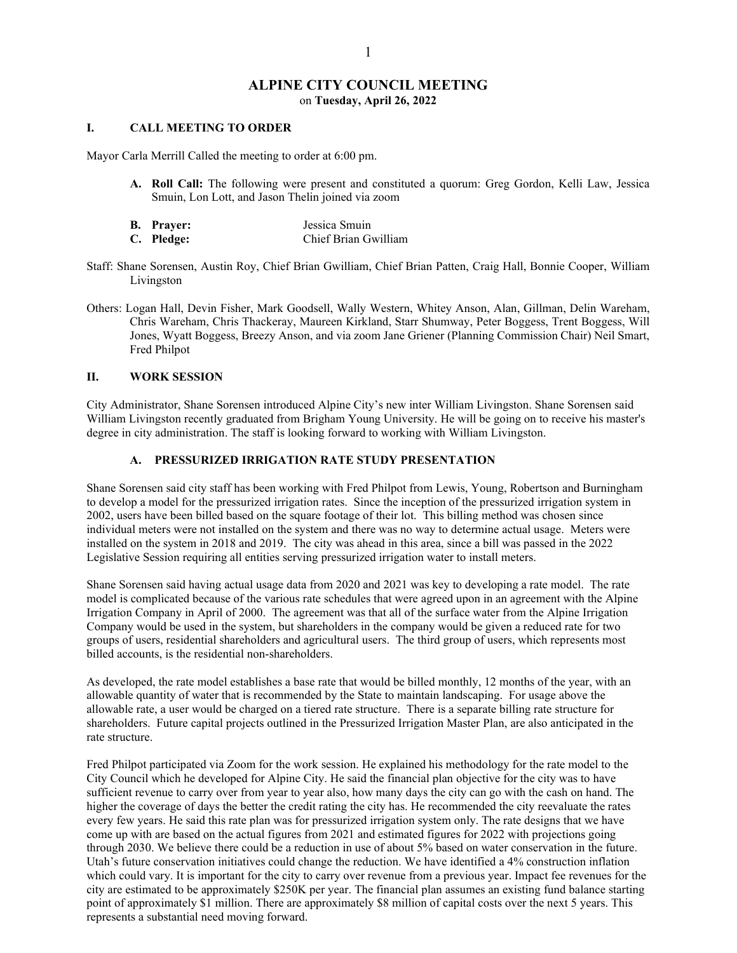# **ALPINE CITY COUNCIL MEETING** on **Tuesday, April 26, 2022**

### **I. CALL MEETING TO ORDER**

Mayor Carla Merrill Called the meeting to order at 6:00 pm.

**A. Roll Call:** The following were present and constituted a quorum: Greg Gordon, Kelli Law, Jessica Smuin, Lon Lott, and Jason Thelin joined via zoom

| <b>B.</b> Prayer: | Jessica Smuin        |
|-------------------|----------------------|
| C. Pledge:        | Chief Brian Gwilliam |

- Staff: Shane Sorensen, Austin Roy, Chief Brian Gwilliam, Chief Brian Patten, Craig Hall, Bonnie Cooper, William Livingston
- Others: Logan Hall, Devin Fisher, Mark Goodsell, Wally Western, Whitey Anson, Alan, Gillman, Delin Wareham, Chris Wareham, Chris Thackeray, Maureen Kirkland, Starr Shumway, Peter Boggess, Trent Boggess, Will Jones, Wyatt Boggess, Breezy Anson, and via zoom Jane Griener (Planning Commission Chair) Neil Smart, Fred Philpot

## **II. WORK SESSION**

City Administrator, Shane Sorensen introduced Alpine City's new inter William Livingston. Shane Sorensen said William Livingston recently graduated from Brigham Young University. He will be going on to receive his master's degree in city administration. The staff is looking forward to working with William Livingston.

## **A. PRESSURIZED IRRIGATION RATE STUDY PRESENTATION**

Shane Sorensen said city staff has been working with Fred Philpot from Lewis, Young, Robertson and Burningham to develop a model for the pressurized irrigation rates. Since the inception of the pressurized irrigation system in 2002, users have been billed based on the square footage of their lot. This billing method was chosen since individual meters were not installed on the system and there was no way to determine actual usage. Meters were installed on the system in 2018 and 2019. The city was ahead in this area, since a bill was passed in the 2022 Legislative Session requiring all entities serving pressurized irrigation water to install meters.

Shane Sorensen said having actual usage data from 2020 and 2021 was key to developing a rate model. The rate model is complicated because of the various rate schedules that were agreed upon in an agreement with the Alpine Irrigation Company in April of 2000. The agreement was that all of the surface water from the Alpine Irrigation Company would be used in the system, but shareholders in the company would be given a reduced rate for two groups of users, residential shareholders and agricultural users. The third group of users, which represents most billed accounts, is the residential non-shareholders.

As developed, the rate model establishes a base rate that would be billed monthly, 12 months of the year, with an allowable quantity of water that is recommended by the State to maintain landscaping. For usage above the allowable rate, a user would be charged on a tiered rate structure. There is a separate billing rate structure for shareholders. Future capital projects outlined in the Pressurized Irrigation Master Plan, are also anticipated in the rate structure.

Fred Philpot participated via Zoom for the work session. He explained his methodology for the rate model to the City Council which he developed for Alpine City. He said the financial plan objective for the city was to have sufficient revenue to carry over from year to year also, how many days the city can go with the cash on hand. The higher the coverage of days the better the credit rating the city has. He recommended the city reevaluate the rates every few years. He said this rate plan was for pressurized irrigation system only. The rate designs that we have come up with are based on the actual figures from 2021 and estimated figures for 2022 with projections going through 2030. We believe there could be a reduction in use of about 5% based on water conservation in the future. Utah's future conservation initiatives could change the reduction. We have identified a 4% construction inflation which could vary. It is important for the city to carry over revenue from a previous year. Impact fee revenues for the city are estimated to be approximately \$250K per year. The financial plan assumes an existing fund balance starting point of approximately \$1 million. There are approximately \$8 million of capital costs over the next 5 years. This represents a substantial need moving forward.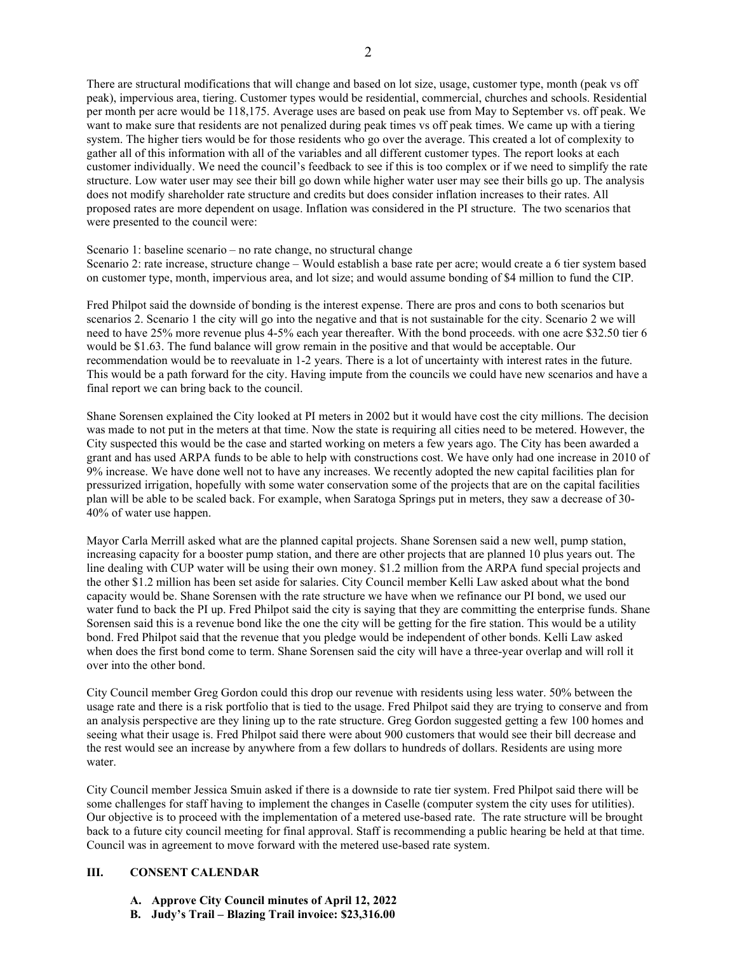There are structural modifications that will change and based on lot size, usage, customer type, month (peak vs off peak), impervious area, tiering. Customer types would be residential, commercial, churches and schools. Residential per month per acre would be 118,175. Average uses are based on peak use from May to September vs. off peak. We want to make sure that residents are not penalized during peak times vs off peak times. We came up with a tiering system. The higher tiers would be for those residents who go over the average. This created a lot of complexity to gather all of this information with all of the variables and all different customer types. The report looks at each customer individually. We need the council's feedback to see if this is too complex or if we need to simplify the rate structure. Low water user may see their bill go down while higher water user may see their bills go up. The analysis does not modify shareholder rate structure and credits but does consider inflation increases to their rates. All proposed rates are more dependent on usage. Inflation was considered in the PI structure. The two scenarios that were presented to the council were:

Scenario 1: baseline scenario – no rate change, no structural change

Scenario 2: rate increase, structure change – Would establish a base rate per acre; would create a 6 tier system based on customer type, month, impervious area, and lot size; and would assume bonding of \$4 million to fund the CIP.

Fred Philpot said the downside of bonding is the interest expense. There are pros and cons to both scenarios but scenarios 2. Scenario 1 the city will go into the negative and that is not sustainable for the city. Scenario 2 we will need to have 25% more revenue plus 4-5% each year thereafter. With the bond proceeds. with one acre \$32.50 tier 6 would be \$1.63. The fund balance will grow remain in the positive and that would be acceptable. Our recommendation would be to reevaluate in 1-2 years. There is a lot of uncertainty with interest rates in the future. This would be a path forward for the city. Having impute from the councils we could have new scenarios and have a final report we can bring back to the council.

Shane Sorensen explained the City looked at PI meters in 2002 but it would have cost the city millions. The decision was made to not put in the meters at that time. Now the state is requiring all cities need to be metered. However, the City suspected this would be the case and started working on meters a few years ago. The City has been awarded a grant and has used ARPA funds to be able to help with constructions cost. We have only had one increase in 2010 of 9% increase. We have done well not to have any increases. We recently adopted the new capital facilities plan for pressurized irrigation, hopefully with some water conservation some of the projects that are on the capital facilities plan will be able to be scaled back. For example, when Saratoga Springs put in meters, they saw a decrease of 30- 40% of water use happen.

Mayor Carla Merrill asked what are the planned capital projects. Shane Sorensen said a new well, pump station, increasing capacity for a booster pump station, and there are other projects that are planned 10 plus years out. The line dealing with CUP water will be using their own money. \$1.2 million from the ARPA fund special projects and the other \$1.2 million has been set aside for salaries. City Council member Kelli Law asked about what the bond capacity would be. Shane Sorensen with the rate structure we have when we refinance our PI bond, we used our water fund to back the PI up. Fred Philpot said the city is saying that they are committing the enterprise funds. Shane Sorensen said this is a revenue bond like the one the city will be getting for the fire station. This would be a utility bond. Fred Philpot said that the revenue that you pledge would be independent of other bonds. Kelli Law asked when does the first bond come to term. Shane Sorensen said the city will have a three-year overlap and will roll it over into the other bond.

City Council member Greg Gordon could this drop our revenue with residents using less water. 50% between the usage rate and there is a risk portfolio that is tied to the usage. Fred Philpot said they are trying to conserve and from an analysis perspective are they lining up to the rate structure. Greg Gordon suggested getting a few 100 homes and seeing what their usage is. Fred Philpot said there were about 900 customers that would see their bill decrease and the rest would see an increase by anywhere from a few dollars to hundreds of dollars. Residents are using more water.

City Council member Jessica Smuin asked if there is a downside to rate tier system. Fred Philpot said there will be some challenges for staff having to implement the changes in Caselle (computer system the city uses for utilities). Our objective is to proceed with the implementation of a metered use-based rate. The rate structure will be brought back to a future city council meeting for final approval. Staff is recommending a public hearing be held at that time. Council was in agreement to move forward with the metered use-based rate system.

# **III. CONSENT CALENDAR**

- **A. Approve City Council minutes of April 12, 2022**
- **B. Judy's Trail – Blazing Trail invoice: \$23,316.00**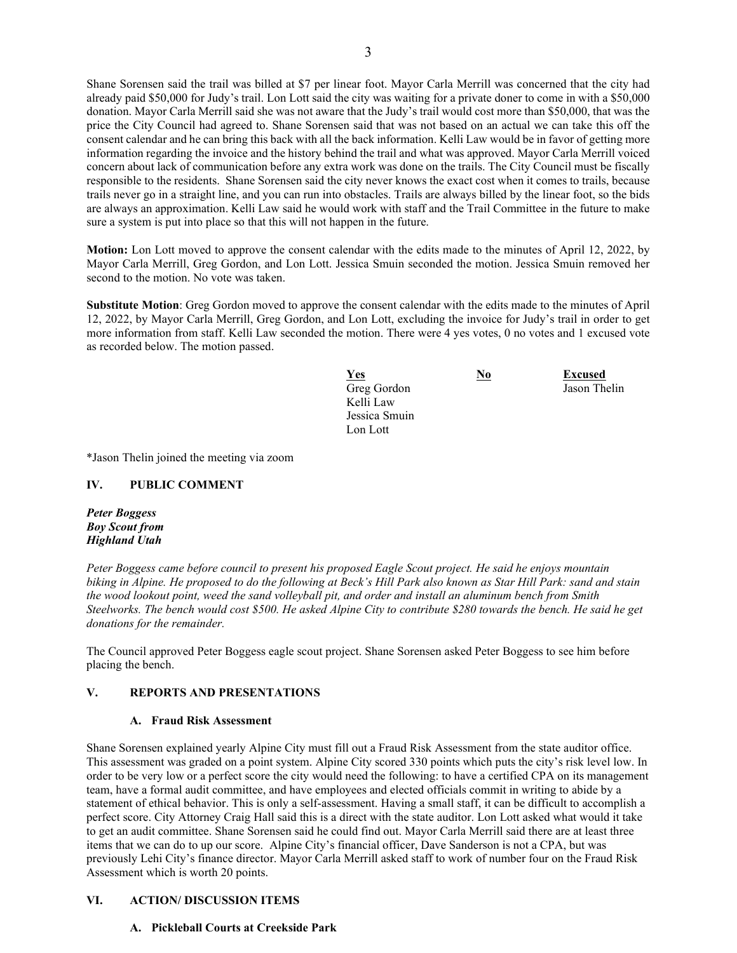Shane Sorensen said the trail was billed at \$7 per linear foot. Mayor Carla Merrill was concerned that the city had already paid \$50,000 for Judy's trail. Lon Lott said the city was waiting for a private doner to come in with a \$50,000 donation. Mayor Carla Merrill said she was not aware that the Judy's trail would cost more than \$50,000, that was the price the City Council had agreed to. Shane Sorensen said that was not based on an actual we can take this off the consent calendar and he can bring this back with all the back information. Kelli Law would be in favor of getting more information regarding the invoice and the history behind the trail and what was approved. Mayor Carla Merrill voiced concern about lack of communication before any extra work was done on the trails. The City Council must be fiscally responsible to the residents. Shane Sorensen said the city never knows the exact cost when it comes to trails, because trails never go in a straight line, and you can run into obstacles. Trails are always billed by the linear foot, so the bids are always an approximation. Kelli Law said he would work with staff and the Trail Committee in the future to make sure a system is put into place so that this will not happen in the future.

**Motion:** Lon Lott moved to approve the consent calendar with the edits made to the minutes of April 12, 2022, by Mayor Carla Merrill, Greg Gordon, and Lon Lott. Jessica Smuin seconded the motion. Jessica Smuin removed her second to the motion. No vote was taken.

**Substitute Motion**: Greg Gordon moved to approve the consent calendar with the edits made to the minutes of April 12, 2022, by Mayor Carla Merrill, Greg Gordon, and Lon Lott, excluding the invoice for Judy's trail in order to get more information from staff. Kelli Law seconded the motion. There were 4 yes votes, 0 no votes and 1 excused vote as recorded below. The motion passed.

| <b>Yes</b>    | <u>No</u> | <b>Excused</b> |
|---------------|-----------|----------------|
| Greg Gordon   |           | Jason Thelin   |
| Kelli Law     |           |                |
| Jessica Smuin |           |                |
| Lon Lott      |           |                |

\*Jason Thelin joined the meeting via zoom

# **IV. PUBLIC COMMENT**

*Peter Boggess Boy Scout from Highland Utah*

*Peter Boggess came before council to present his proposed Eagle Scout project. He said he enjoys mountain biking in Alpine. He proposed to do the following at Beck's Hill Park also known as Star Hill Park: sand and stain the wood lookout point, weed the sand volleyball pit, and order and install an aluminum bench from Smith Steelworks. The bench would cost \$500. He asked Alpine City to contribute \$280 towards the bench. He said he get donations for the remainder.* 

The Council approved Peter Boggess eagle scout project. Shane Sorensen asked Peter Boggess to see him before placing the bench.

# **V. REPORTS AND PRESENTATIONS**

### **A. Fraud Risk Assessment**

Shane Sorensen explained yearly Alpine City must fill out a Fraud Risk Assessment from the state auditor office. This assessment was graded on a point system. Alpine City scored 330 points which puts the city's risk level low. In order to be very low or a perfect score the city would need the following: to have a certified CPA on its management team, have a formal audit committee, and have employees and elected officials commit in writing to abide by a statement of ethical behavior. This is only a self-assessment. Having a small staff, it can be difficult to accomplish a perfect score. City Attorney Craig Hall said this is a direct with the state auditor. Lon Lott asked what would it take to get an audit committee. Shane Sorensen said he could find out. Mayor Carla Merrill said there are at least three items that we can do to up our score. Alpine City's financial officer, Dave Sanderson is not a CPA, but was previously Lehi City's finance director. Mayor Carla Merrill asked staff to work of number four on the Fraud Risk Assessment which is worth 20 points.

# **VI. ACTION/ DISCUSSION ITEMS**

## **A. Pickleball Courts at Creekside Park**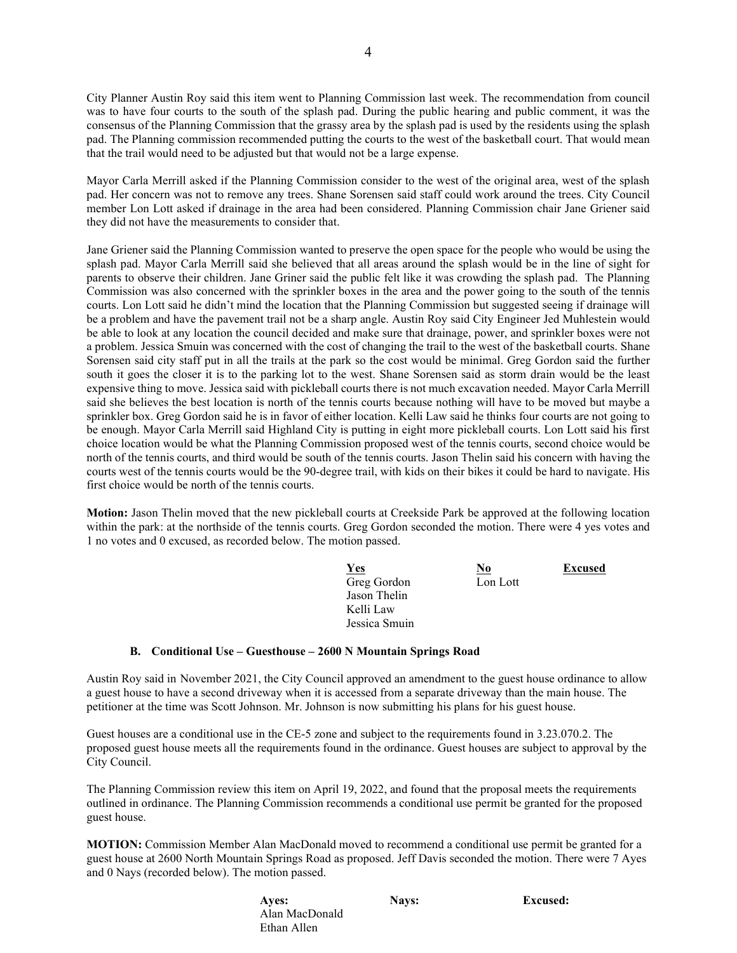City Planner Austin Roy said this item went to Planning Commission last week. The recommendation from council was to have four courts to the south of the splash pad. During the public hearing and public comment, it was the consensus of the Planning Commission that the grassy area by the splash pad is used by the residents using the splash pad. The Planning commission recommended putting the courts to the west of the basketball court. That would mean that the trail would need to be adjusted but that would not be a large expense.

Mayor Carla Merrill asked if the Planning Commission consider to the west of the original area, west of the splash pad. Her concern was not to remove any trees. Shane Sorensen said staff could work around the trees. City Council member Lon Lott asked if drainage in the area had been considered. Planning Commission chair Jane Griener said they did not have the measurements to consider that.

Jane Griener said the Planning Commission wanted to preserve the open space for the people who would be using the splash pad. Mayor Carla Merrill said she believed that all areas around the splash would be in the line of sight for parents to observe their children. Jane Griner said the public felt like it was crowding the splash pad. The Planning Commission was also concerned with the sprinkler boxes in the area and the power going to the south of the tennis courts. Lon Lott said he didn't mind the location that the Planning Commission but suggested seeing if drainage will be a problem and have the pavement trail not be a sharp angle. Austin Roy said City Engineer Jed Muhlestein would be able to look at any location the council decided and make sure that drainage, power, and sprinkler boxes were not a problem. Jessica Smuin was concerned with the cost of changing the trail to the west of the basketball courts. Shane Sorensen said city staff put in all the trails at the park so the cost would be minimal. Greg Gordon said the further south it goes the closer it is to the parking lot to the west. Shane Sorensen said as storm drain would be the least expensive thing to move. Jessica said with pickleball courts there is not much excavation needed. Mayor Carla Merrill said she believes the best location is north of the tennis courts because nothing will have to be moved but maybe a sprinkler box. Greg Gordon said he is in favor of either location. Kelli Law said he thinks four courts are not going to be enough. Mayor Carla Merrill said Highland City is putting in eight more pickleball courts. Lon Lott said his first choice location would be what the Planning Commission proposed west of the tennis courts, second choice would be north of the tennis courts, and third would be south of the tennis courts. Jason Thelin said his concern with having the courts west of the tennis courts would be the 90-degree trail, with kids on their bikes it could be hard to navigate. His first choice would be north of the tennis courts.

**Motion:** Jason Thelin moved that the new pickleball courts at Creekside Park be approved at the following location within the park: at the northside of the tennis courts. Greg Gordon seconded the motion. There were 4 yes votes and 1 no votes and 0 excused, as recorded below. The motion passed.

| <b>Yes</b>    | No       | <b>Excused</b> |
|---------------|----------|----------------|
| Greg Gordon   | Lon Lott |                |
| Jason Thelin  |          |                |
| Kelli Law     |          |                |
| Jessica Smuin |          |                |

### **B. Conditional Use – Guesthouse – 2600 N Mountain Springs Road**

Austin Roy said in November 2021, the City Council approved an amendment to the guest house ordinance to allow a guest house to have a second driveway when it is accessed from a separate driveway than the main house. The petitioner at the time was Scott Johnson. Mr. Johnson is now submitting his plans for his guest house.

Guest houses are a conditional use in the CE-5 zone and subject to the requirements found in 3.23.070.2. The proposed guest house meets all the requirements found in the ordinance. Guest houses are subject to approval by the City Council.

The Planning Commission review this item on April 19, 2022, and found that the proposal meets the requirements outlined in ordinance. The Planning Commission recommends a conditional use permit be granted for the proposed guest house.

**MOTION:** Commission Member Alan MacDonald moved to recommend a conditional use permit be granted for a guest house at 2600 North Mountain Springs Road as proposed. Jeff Davis seconded the motion. There were 7 Ayes and 0 Nays (recorded below). The motion passed.

**Ayes:** Nays: **Nays:** Excused: Alan MacDonald Ethan Allen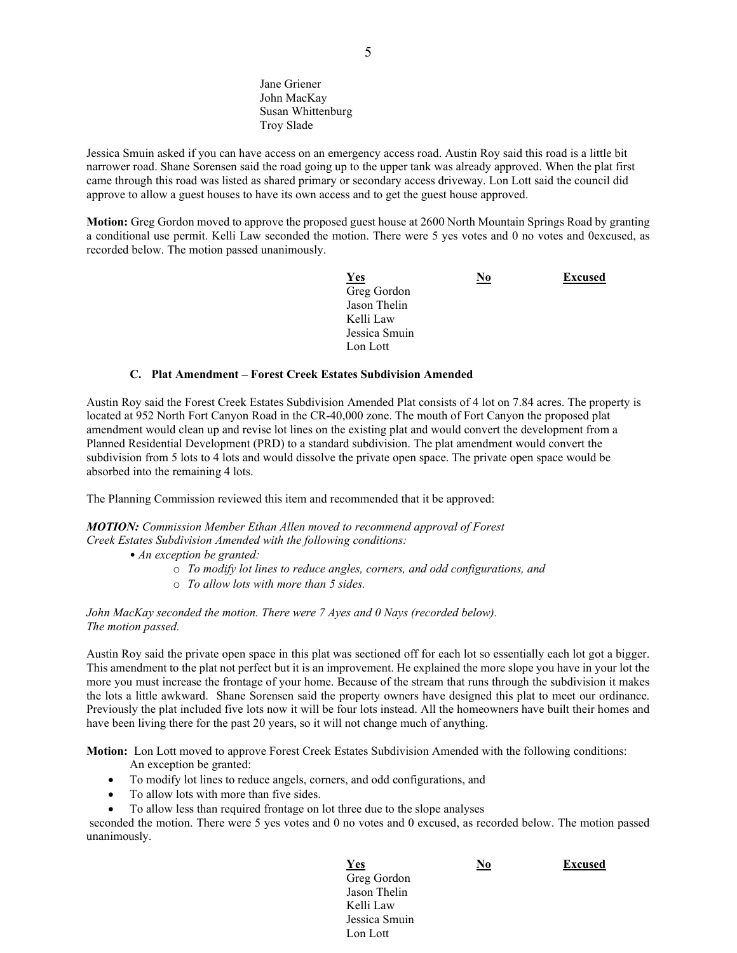Jane Griener John MacKay Susan Whittenburg Troy Slade

Jessica Smuin asked if you can have access on an emergency access road. Austin Roy said this road is a little bit narrower road. Shane Sorensen said the road going up to the upper tank was already approved. When the plat first came through this road was listed as shared primary or secondary access driveway. Lon Lott said the council did approve to allow a guest houses to have its own access and to get the guest house approved.

**Motion:** Greg Gordon moved to approve the proposed guest house at 2600 North Mountain Springs Road by granting a conditional use permit. Kelli Law seconded the motion. There were 5 yes votes and 0 no votes and 0excused, as recorded below. The motion passed unanimously.

| <u>Yes</u>    | <u>No</u> | <b>Excused</b> |
|---------------|-----------|----------------|
| Greg Gordon   |           |                |
| Jason Thelin  |           |                |
| Kelli Law     |           |                |
| Jessica Smuin |           |                |
| Lon Lott      |           |                |

#### **C. Plat Amendment – Forest Creek Estates Subdivision Amended**

Austin Roy said the Forest Creek Estates Subdivision Amended Plat consists of 4 lot on 7.84 acres. The property is located at 952 North Fort Canyon Road in the CR-40,000 zone. The mouth of Fort Canyon the proposed plat amendment would clean up and revise lot lines on the existing plat and would convert the development from a Planned Residential Development (PRD) to a standard subdivision. The plat amendment would convert the subdivision from 5 lots to 4 lots and would dissolve the private open space. The private open space would be absorbed into the remaining 4 lots.

The Planning Commission reviewed this item and recommended that it be approved:

*MOTION: Commission Member Ethan Allen moved to recommend approval of Forest Creek Estates Subdivision Amended with the following conditions:*

- *An exception be granted:*
	- o *To modify lot lines to reduce angles, corners, and odd configurations, and*
	- o *To allow lots with more than 5 sides.*

*John MacKay seconded the motion. There were 7 Ayes and 0 Nays (recorded below). The motion passed.*

Austin Roy said the private open space in this plat was sectioned off for each lot so essentially each lot got a bigger. This amendment to the plat not perfect but it is an improvement. He explained the more slope you have in your lot the more you must increase the frontage of your home. Because of the stream that runs through the subdivision it makes the lots a little awkward. Shane Sorensen said the property owners have designed this plat to meet our ordinance. Previously the plat included five lots now it will be four lots instead. All the homeowners have built their homes and have been living there for the past 20 years, so it will not change much of anything.

**Motion:** Lon Lott moved to approve Forest Creek Estates Subdivision Amended with the following conditions:

- An exception be granted:
- To modify lot lines to reduce angels, corners, and odd configurations, and
- To allow lots with more than five sides.
- To allow less than required frontage on lot three due to the slope analyses

seconded the motion. There were 5 yes votes and 0 no votes and 0 excused, as recorded below. The motion passed unanimously.

*<u>Yes</u>* **<b>No Excused** Greg Gordon Jason Thelin Kelli Law Jessica Smuin Lon Lott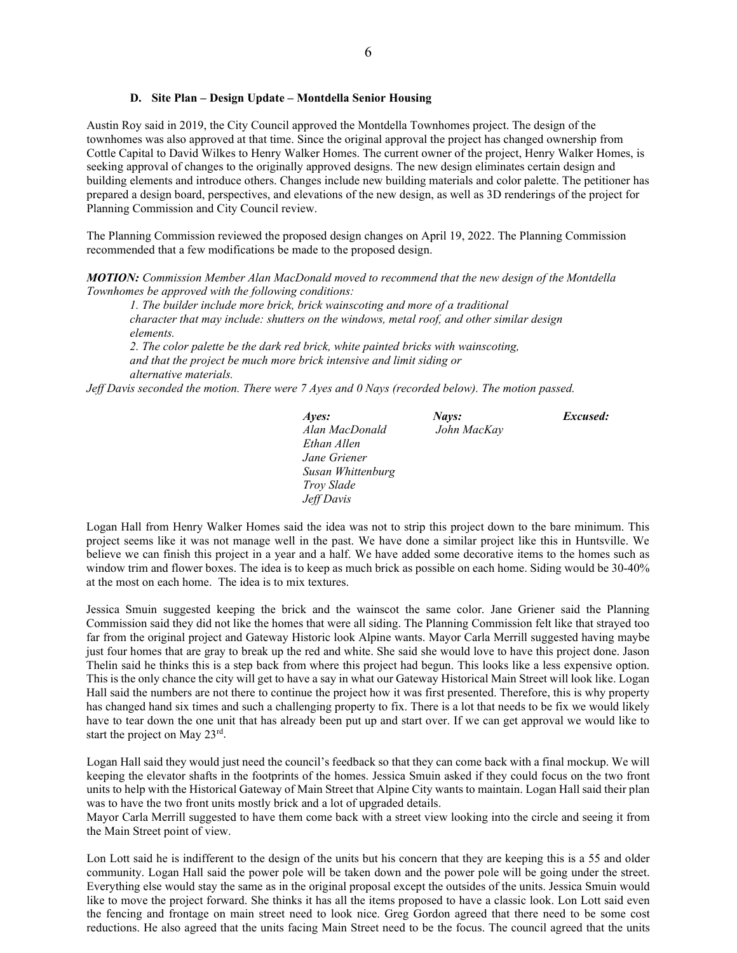#### **D. Site Plan – Design Update – Montdella Senior Housing**

Austin Roy said in 2019, the City Council approved the Montdella Townhomes project. The design of the townhomes was also approved at that time. Since the original approval the project has changed ownership from Cottle Capital to David Wilkes to Henry Walker Homes. The current owner of the project, Henry Walker Homes, is seeking approval of changes to the originally approved designs. The new design eliminates certain design and building elements and introduce others. Changes include new building materials and color palette. The petitioner has prepared a design board, perspectives, and elevations of the new design, as well as 3D renderings of the project for Planning Commission and City Council review.

The Planning Commission reviewed the proposed design changes on April 19, 2022. The Planning Commission recommended that a few modifications be made to the proposed design.

*MOTION: Commission Member Alan MacDonald moved to recommend that the new design of the Montdella Townhomes be approved with the following conditions:*

*1. The builder include more brick, brick wainscoting and more of a traditional character that may include: shutters on the windows, metal roof, and other similar design elements.*

*2. The color palette be the dark red brick, white painted bricks with wainscoting, and that the project be much more brick intensive and limit siding or alternative materials.*

*Jeff Davis seconded the motion. There were 7 Ayes and 0 Nays (recorded below). The motion passed.*

| Aves:             | Nays:       | Excused: |
|-------------------|-------------|----------|
| Alan MacDonald    | John MacKay |          |
| Ethan Allen       |             |          |
| Jane Griener      |             |          |
| Susan Whittenburg |             |          |
| Trov Slade        |             |          |
| Jeff Davis        |             |          |

Logan Hall from Henry Walker Homes said the idea was not to strip this project down to the bare minimum. This project seems like it was not manage well in the past. We have done a similar project like this in Huntsville. We believe we can finish this project in a year and a half. We have added some decorative items to the homes such as window trim and flower boxes. The idea is to keep as much brick as possible on each home. Siding would be 30-40% at the most on each home. The idea is to mix textures.

Jessica Smuin suggested keeping the brick and the wainscot the same color. Jane Griener said the Planning Commission said they did not like the homes that were all siding. The Planning Commission felt like that strayed too far from the original project and Gateway Historic look Alpine wants. Mayor Carla Merrill suggested having maybe just four homes that are gray to break up the red and white. She said she would love to have this project done. Jason Thelin said he thinks this is a step back from where this project had begun. This looks like a less expensive option. This is the only chance the city will get to have a say in what our Gateway Historical Main Street will look like. Logan Hall said the numbers are not there to continue the project how it was first presented. Therefore, this is why property has changed hand six times and such a challenging property to fix. There is a lot that needs to be fix we would likely have to tear down the one unit that has already been put up and start over. If we can get approval we would like to start the project on May 23rd.

Logan Hall said they would just need the council's feedback so that they can come back with a final mockup. We will keeping the elevator shafts in the footprints of the homes. Jessica Smuin asked if they could focus on the two front units to help with the Historical Gateway of Main Street that Alpine City wants to maintain. Logan Hall said their plan was to have the two front units mostly brick and a lot of upgraded details.

Mayor Carla Merrill suggested to have them come back with a street view looking into the circle and seeing it from the Main Street point of view.

Lon Lott said he is indifferent to the design of the units but his concern that they are keeping this is a 55 and older community. Logan Hall said the power pole will be taken down and the power pole will be going under the street. Everything else would stay the same as in the original proposal except the outsides of the units. Jessica Smuin would like to move the project forward. She thinks it has all the items proposed to have a classic look. Lon Lott said even the fencing and frontage on main street need to look nice. Greg Gordon agreed that there need to be some cost reductions. He also agreed that the units facing Main Street need to be the focus. The council agreed that the units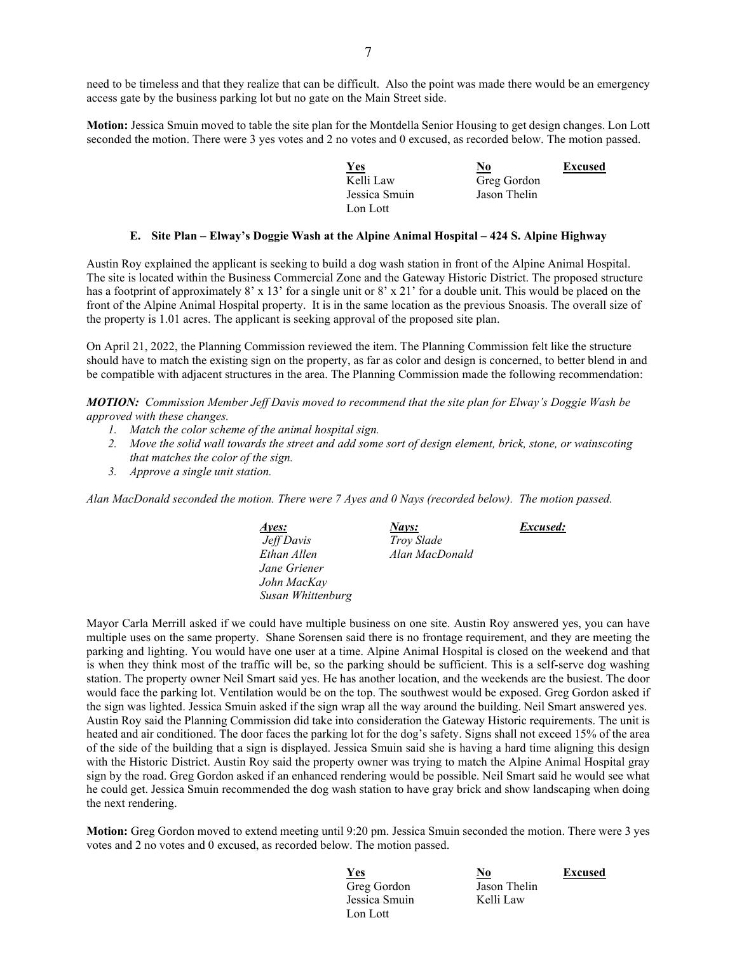need to be timeless and that they realize that can be difficult. Also the point was made there would be an emergency access gate by the business parking lot but no gate on the Main Street side.

**Motion:** Jessica Smuin moved to table the site plan for the Montdella Senior Housing to get design changes. Lon Lott seconded the motion. There were 3 yes votes and 2 no votes and 0 excused, as recorded below. The motion passed.

| $Yes$         | No           | <b>Excused</b> |
|---------------|--------------|----------------|
| Kelli Law     | Greg Gordon  |                |
| Jessica Smuin | Jason Thelin |                |
| Lon Lott      |              |                |

#### **E. Site Plan – Elway's Doggie Wash at the Alpine Animal Hospital – 424 S. Alpine Highway**

Austin Roy explained the applicant is seeking to build a dog wash station in front of the Alpine Animal Hospital. The site is located within the Business Commercial Zone and the Gateway Historic District. The proposed structure has a footprint of approximately 8' x 13' for a single unit or 8' x 21' for a double unit. This would be placed on the front of the Alpine Animal Hospital property. It is in the same location as the previous Snoasis. The overall size of the property is 1.01 acres. The applicant is seeking approval of the proposed site plan.

On April 21, 2022, the Planning Commission reviewed the item. The Planning Commission felt like the structure should have to match the existing sign on the property, as far as color and design is concerned, to better blend in and be compatible with adjacent structures in the area. The Planning Commission made the following recommendation:

*MOTION: Commission Member Jeff Davis moved to recommend that the site plan for Elway's Doggie Wash be approved with these changes.*

- *1. Match the color scheme of the animal hospital sign.*
- *2. Move the solid wall towards the street and add some sort of design element, brick, stone, or wainscoting that matches the color of the sign.*
- *3. Approve a single unit station.*

*Alan MacDonald seconded the motion. There were 7 Ayes and 0 Nays (recorded below). The motion passed.* 

| Aves:             | <u>Nays:</u>      | Excused: |
|-------------------|-------------------|----------|
| Jeff Davis        | <i>Trov Slade</i> |          |
| Ethan Allen       | Alan MacDonald    |          |
| Jane Griener      |                   |          |
| John MacKav       |                   |          |
| Susan Whittenburg |                   |          |

Mayor Carla Merrill asked if we could have multiple business on one site. Austin Roy answered yes, you can have multiple uses on the same property. Shane Sorensen said there is no frontage requirement, and they are meeting the parking and lighting. You would have one user at a time. Alpine Animal Hospital is closed on the weekend and that is when they think most of the traffic will be, so the parking should be sufficient. This is a self-serve dog washing station. The property owner Neil Smart said yes. He has another location, and the weekends are the busiest. The door would face the parking lot. Ventilation would be on the top. The southwest would be exposed. Greg Gordon asked if the sign was lighted. Jessica Smuin asked if the sign wrap all the way around the building. Neil Smart answered yes. Austin Roy said the Planning Commission did take into consideration the Gateway Historic requirements. The unit is heated and air conditioned. The door faces the parking lot for the dog's safety. Signs shall not exceed 15% of the area of the side of the building that a sign is displayed. Jessica Smuin said she is having a hard time aligning this design with the Historic District. Austin Roy said the property owner was trying to match the Alpine Animal Hospital gray sign by the road. Greg Gordon asked if an enhanced rendering would be possible. Neil Smart said he would see what he could get. Jessica Smuin recommended the dog wash station to have gray brick and show landscaping when doing the next rendering.

**Motion:** Greg Gordon moved to extend meeting until 9:20 pm. Jessica Smuin seconded the motion. There were 3 yes votes and 2 no votes and 0 excused, as recorded below. The motion passed.

*<u>Yes</u>* **<b>No Excused** Greg Gordon Jason Thelin Jessica Smuin Kelli Law Lon Lott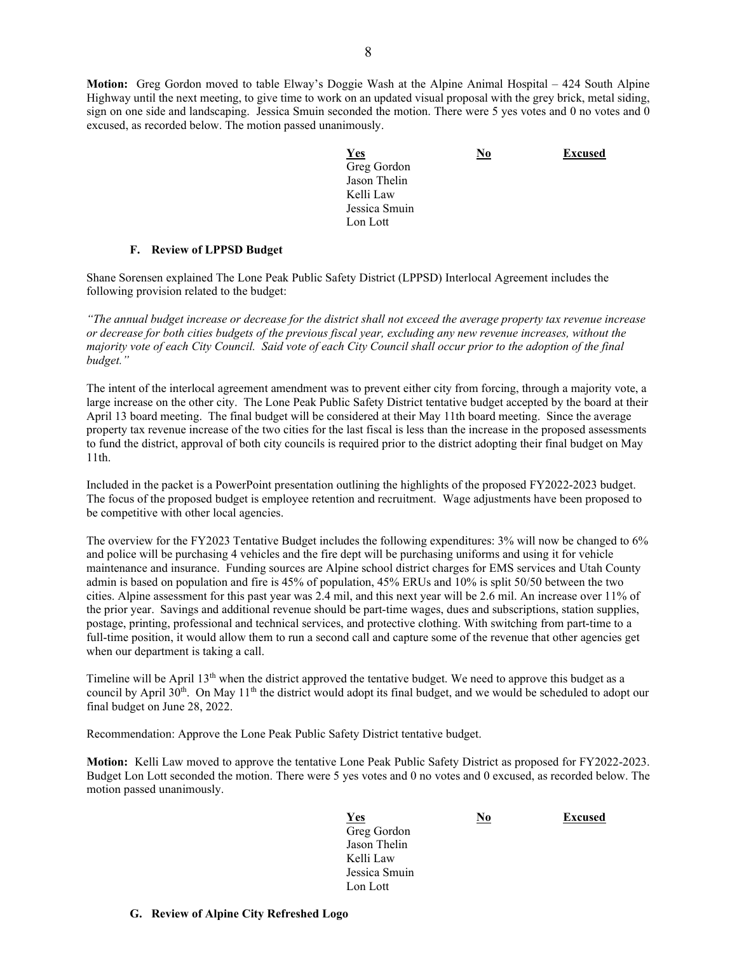**Motion:** Greg Gordon moved to table Elway's Doggie Wash at the Alpine Animal Hospital – 424 South Alpine Highway until the next meeting, to give time to work on an updated visual proposal with the grey brick, metal siding, sign on one side and landscaping. Jessica Smuin seconded the motion. There were 5 yes votes and 0 no votes and 0 excused, as recorded below. The motion passed unanimously.

| <b>Yes</b>    | $\underline{\mathbf{N}\mathbf{0}}$ | <b>Excused</b> |
|---------------|------------------------------------|----------------|
| Greg Gordon   |                                    |                |
| Jason Thelin  |                                    |                |
| Kelli Law     |                                    |                |
| Jessica Smuin |                                    |                |
| Lon Lott      |                                    |                |

## **F. Review of LPPSD Budget**

Shane Sorensen explained The Lone Peak Public Safety District (LPPSD) Interlocal Agreement includes the following provision related to the budget:

*"The annual budget increase or decrease for the district shall not exceed the average property tax revenue increase or decrease for both cities budgets of the previous fiscal year, excluding any new revenue increases, without the majority vote of each City Council. Said vote of each City Council shall occur prior to the adoption of the final budget."*

The intent of the interlocal agreement amendment was to prevent either city from forcing, through a majority vote, a large increase on the other city. The Lone Peak Public Safety District tentative budget accepted by the board at their April 13 board meeting. The final budget will be considered at their May 11th board meeting. Since the average property tax revenue increase of the two cities for the last fiscal is less than the increase in the proposed assessments to fund the district, approval of both city councils is required prior to the district adopting their final budget on May 11th.

Included in the packet is a PowerPoint presentation outlining the highlights of the proposed FY2022-2023 budget. The focus of the proposed budget is employee retention and recruitment. Wage adjustments have been proposed to be competitive with other local agencies.

The overview for the FY2023 Tentative Budget includes the following expenditures: 3% will now be changed to 6% and police will be purchasing 4 vehicles and the fire dept will be purchasing uniforms and using it for vehicle maintenance and insurance. Funding sources are Alpine school district charges for EMS services and Utah County admin is based on population and fire is 45% of population, 45% ERUs and 10% is split 50/50 between the two cities. Alpine assessment for this past year was 2.4 mil, and this next year will be 2.6 mil. An increase over 11% of the prior year. Savings and additional revenue should be part-time wages, dues and subscriptions, station supplies, postage, printing, professional and technical services, and protective clothing. With switching from part-time to a full-time position, it would allow them to run a second call and capture some of the revenue that other agencies get when our department is taking a call.

Timeline will be April 13<sup>th</sup> when the district approved the tentative budget. We need to approve this budget as a council by April 30<sup>th</sup>. On May 11<sup>th</sup> the district would adopt its final budget, and we would be scheduled to adopt our final budget on June 28, 2022.

Recommendation: Approve the Lone Peak Public Safety District tentative budget.

**Motion:** Kelli Law moved to approve the tentative Lone Peak Public Safety District as proposed for FY2022-2023. Budget Lon Lott seconded the motion. There were 5 yes votes and 0 no votes and 0 excused, as recorded below. The motion passed unanimously.

| <b>Yes</b>    | <u>No</u> | <b>Excused</b> |
|---------------|-----------|----------------|
| Greg Gordon   |           |                |
| Jason Thelin  |           |                |
| Kelli Law     |           |                |
| Jessica Smuin |           |                |
| Lon Lott      |           |                |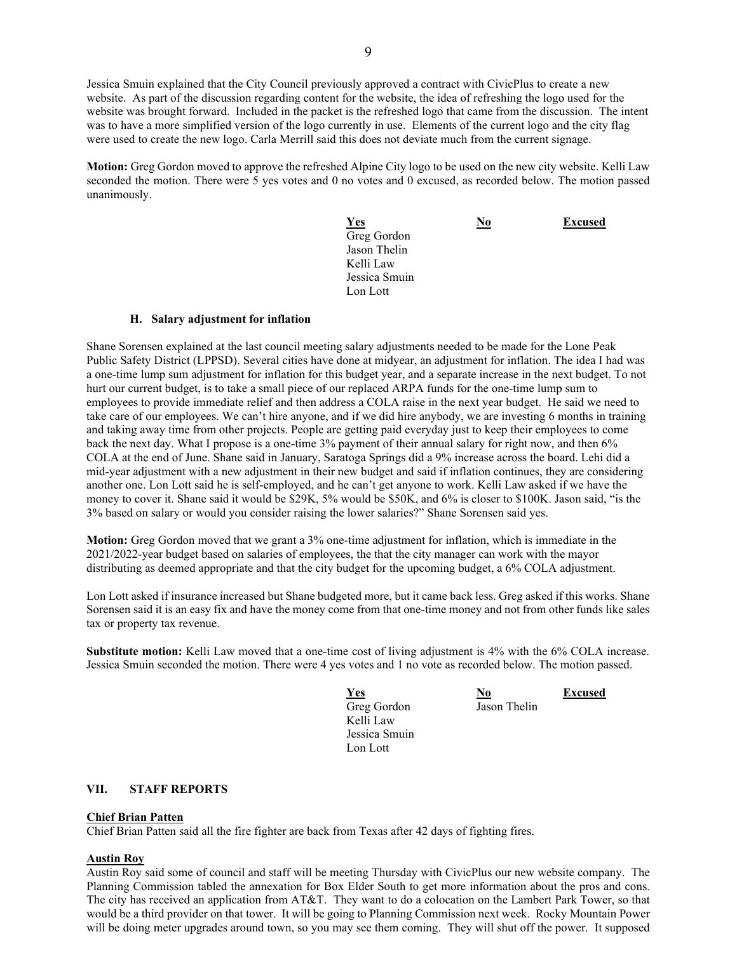Jessica Smuin explained that the City Council previously approved a contract with CivicPlus to create a new website. As part of the discussion regarding content for the website, the idea of refreshing the logo used for the website was brought forward. Included in the packet is the refreshed logo that came from the discussion. The intent was to have a more simplified version of the logo currently in use. Elements of the current logo and the city flag were used to create the new logo. Carla Merrill said this does not deviate much from the current signage.

**Motion:** Greg Gordon moved to approve the refreshed Alpine City logo to be used on the new city website. Kelli Law seconded the motion. There were 5 yes votes and 0 no votes and 0 excused, as recorded below. The motion passed unanimously.

| Yes           | <u>No</u> | <b>Excused</b> |
|---------------|-----------|----------------|
| Greg Gordon   |           |                |
| Jason Thelin  |           |                |
| Kelli Law     |           |                |
| Jessica Smuin |           |                |
| Lon Lott      |           |                |

#### **H. Salary adjustment for inflation**

Shane Sorensen explained at the last council meeting salary adjustments needed to be made for the Lone Peak Public Safety District (LPPSD). Several cities have done at midyear, an adjustment for inflation. The idea I had was a one-time lump sum adjustment for inflation for this budget year, and a separate increase in the next budget. To not hurt our current budget, is to take a small piece of our replaced ARPA funds for the one-time lump sum to employees to provide immediate relief and then address a COLA raise in the next year budget. He said we need to take care of our employees. We can't hire anyone, and if we did hire anybody, we are investing 6 months in training and taking away time from other projects. People are getting paid everyday just to keep their employees to come back the next day. What I propose is a one-time 3% payment of their annual salary for right now, and then 6% COLA at the end of June. Shane said in January, Saratoga Springs did a 9% increase across the board. Lehi did a mid-year adjustment with a new adjustment in their new budget and said if inflation continues, they are considering another one. Lon Lott said he is self-employed, and he can't get anyone to work. Kelli Law asked if we have the money to cover it. Shane said it would be \$29K, 5% would be \$50K, and 6% is closer to \$100K. Jason said, "is the 3% based on salary or would you consider raising the lower salaries?" Shane Sorensen said yes.

**Motion:** Greg Gordon moved that we grant a 3% one-time adjustment for inflation, which is immediate in the 2021/2022-year budget based on salaries of employees, the that the city manager can work with the mayor distributing as deemed appropriate and that the city budget for the upcoming budget, a 6% COLA adjustment.

Lon Lott asked if insurance increased but Shane budgeted more, but it came back less. Greg asked if this works. Shane Sorensen said it is an easy fix and have the money come from that one-time money and not from other funds like sales tax or property tax revenue.

**Substitute motion:** Kelli Law moved that a one-time cost of living adjustment is 4% with the 6% COLA increase. Jessica Smuin seconded the motion. There were 4 yes votes and 1 no vote as recorded below. The motion passed.

*<u>Yes</u>* **<b>No Excused** Greg Gordon Jason Thelin Kelli Law Jessica Smuin Lon Lott

**VII. STAFF REPORTS**

#### **Chief Brian Patten**

Chief Brian Patten said all the fire fighter are back from Texas after 42 days of fighting fires.

#### **Austin Roy**

Austin Roy said some of council and staff will be meeting Thursday with CivicPlus our new website company. The Planning Commission tabled the annexation for Box Elder South to get more information about the pros and cons. The city has received an application from AT&T. They want to do a colocation on the Lambert Park Tower, so that would be a third provider on that tower. It will be going to Planning Commission next week. Rocky Mountain Power will be doing meter upgrades around town, so you may see them coming. They will shut off the power. It supposed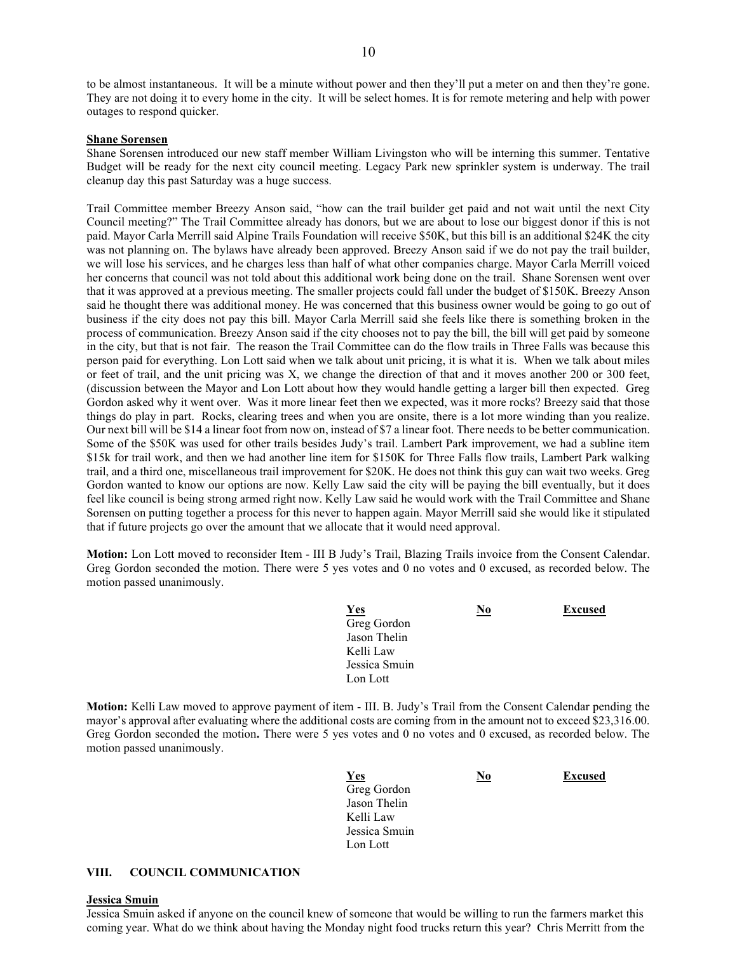to be almost instantaneous. It will be a minute without power and then they'll put a meter on and then they're gone. They are not doing it to every home in the city. It will be select homes. It is for remote metering and help with power outages to respond quicker.

#### **Shane Sorensen**

Shane Sorensen introduced our new staff member William Livingston who will be interning this summer. Tentative Budget will be ready for the next city council meeting. Legacy Park new sprinkler system is underway. The trail cleanup day this past Saturday was a huge success.

Trail Committee member Breezy Anson said, "how can the trail builder get paid and not wait until the next City Council meeting?" The Trail Committee already has donors, but we are about to lose our biggest donor if this is not paid. Mayor Carla Merrill said Alpine Trails Foundation will receive \$50K, but this bill is an additional \$24K the city was not planning on. The bylaws have already been approved. Breezy Anson said if we do not pay the trail builder, we will lose his services, and he charges less than half of what other companies charge. Mayor Carla Merrill voiced her concerns that council was not told about this additional work being done on the trail. Shane Sorensen went over that it was approved at a previous meeting. The smaller projects could fall under the budget of \$150K. Breezy Anson said he thought there was additional money. He was concerned that this business owner would be going to go out of business if the city does not pay this bill. Mayor Carla Merrill said she feels like there is something broken in the process of communication. Breezy Anson said if the city chooses not to pay the bill, the bill will get paid by someone in the city, but that is not fair. The reason the Trail Committee can do the flow trails in Three Falls was because this person paid for everything. Lon Lott said when we talk about unit pricing, it is what it is. When we talk about miles or feet of trail, and the unit pricing was X, we change the direction of that and it moves another 200 or 300 feet, (discussion between the Mayor and Lon Lott about how they would handle getting a larger bill then expected. Greg Gordon asked why it went over. Was it more linear feet then we expected, was it more rocks? Breezy said that those things do play in part. Rocks, clearing trees and when you are onsite, there is a lot more winding than you realize. Our next bill will be \$14 a linear foot from now on, instead of \$7 a linear foot. There needs to be better communication. Some of the \$50K was used for other trails besides Judy's trail. Lambert Park improvement, we had a subline item \$15k for trail work, and then we had another line item for \$150K for Three Falls flow trails, Lambert Park walking trail, and a third one, miscellaneous trail improvement for \$20K. He does not think this guy can wait two weeks. Greg Gordon wanted to know our options are now. Kelly Law said the city will be paying the bill eventually, but it does feel like council is being strong armed right now. Kelly Law said he would work with the Trail Committee and Shane Sorensen on putting together a process for this never to happen again. Mayor Merrill said she would like it stipulated that if future projects go over the amount that we allocate that it would need approval.

**Motion:** Lon Lott moved to reconsider Item - III B Judy's Trail, Blazing Trails invoice from the Consent Calendar. Greg Gordon seconded the motion. There were 5 yes votes and 0 no votes and 0 excused, as recorded below. The motion passed unanimously.

| <u>Yes</u>    | $\underline{\mathrm{No}}$ | <b>Excused</b> |
|---------------|---------------------------|----------------|
| Greg Gordon   |                           |                |
| Jason Thelin  |                           |                |
| Kelli Law     |                           |                |
| Jessica Smuin |                           |                |
| Lon Lott      |                           |                |

**Motion:** Kelli Law moved to approve payment of item - III. B. Judy's Trail from the Consent Calendar pending the mayor's approval after evaluating where the additional costs are coming from in the amount not to exceed \$23,316.00. Greg Gordon seconded the motion**.** There were 5 yes votes and 0 no votes and 0 excused, as recorded below. The motion passed unanimously.

| <b>Yes</b>    | <u>No</u> | <b>Excused</b> |
|---------------|-----------|----------------|
| Greg Gordon   |           |                |
| Jason Thelin  |           |                |
| Kelli Law     |           |                |
| Jessica Smuin |           |                |
| Lon Lott      |           |                |

#### **VIII. COUNCIL COMMUNICATION**

#### **Jessica Smuin**

Jessica Smuin asked if anyone on the council knew of someone that would be willing to run the farmers market this coming year. What do we think about having the Monday night food trucks return this year? Chris Merritt from the